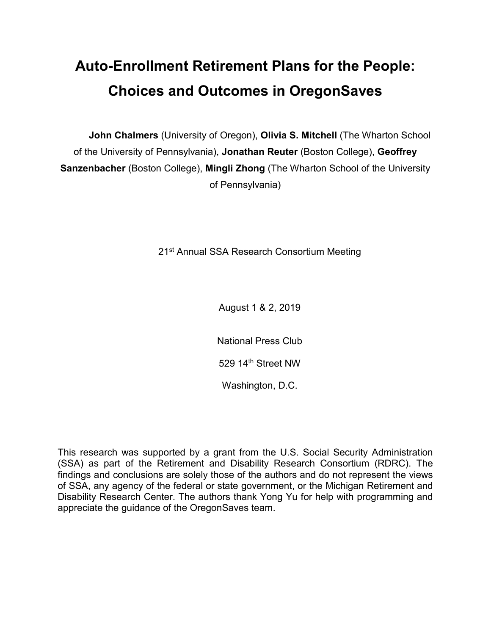# **Auto-Enrollment Retirement Plans for the People: Choices and Outcomes in OregonSaves**

**John Chalmers** (University of Oregon), **Olivia S. Mitchell** (The Wharton School of the University of Pennsylvania), **Jonathan Reuter** (Boston College), **Geoffrey Sanzenbacher** (Boston College), **Mingli Zhong** (The Wharton School of the University of Pennsylvania)

21<sup>st</sup> Annual SSA Research Consortium Meeting

August 1 & 2, 2019

National Press Club

529 14<sup>th</sup> Street NW

Washington, D.C.

 This research was supported by a grant from the U.S. Social Security Administration of SSA, any agency of the federal or state government, or the Michigan Retirement and (SSA) as part of the Retirement and Disability Research Consortium (RDRC). The findings and conclusions are solely those of the authors and do not represent the views Disability Research Center. The authors thank Yong Yu for help with programming and appreciate the guidance of the OregonSaves team.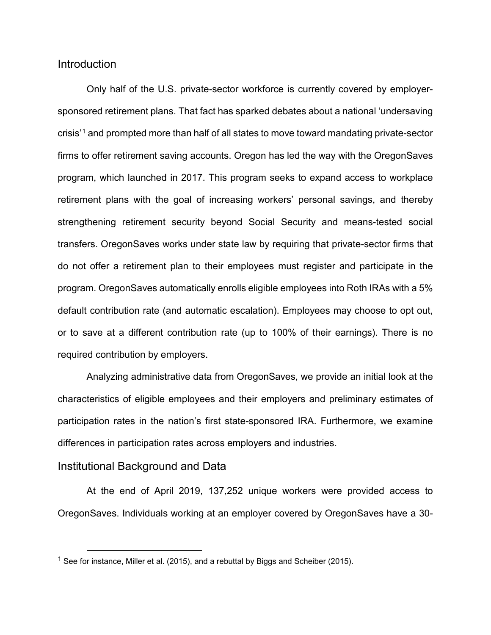# Introduction

 sponsored retirement plans. That fact has sparked debates about a national 'undersaving default contribution rate (and automatic escalation). Employees may choose to opt out, Only half of the U.S. private-sector workforce is currently covered by employercrisis'[1](#page-1-0) and prompted more than half of all states to move toward mandating private-sector firms to offer retirement saving accounts. Oregon has led the way with the OregonSaves program, which launched in 2017. This program seeks to expand access to workplace retirement plans with the goal of increasing workers' personal savings, and thereby strengthening retirement security beyond Social Security and means-tested social transfers. OregonSaves works under state law by requiring that private-sector firms that do not offer a retirement plan to their employees must register and participate in the program. OregonSaves automatically enrolls eligible employees into Roth IRAs with a 5% or to save at a different contribution rate (up to 100% of their earnings). There is no required contribution by employers.

 Analyzing administrative data from OregonSaves, we provide an initial look at the characteristics of eligible employees and their employers and preliminary estimates of participation rates in the nation's first state-sponsored IRA. Furthermore, we examine differences in participation rates across employers and industries.

# Institutional Background and Data

<u>.</u>

At the end of April 2019, 137,252 unique workers were provided access to OregonSaves. Individuals working at an employer covered by OregonSaves have a 30-

<span id="page-1-0"></span> $1$  See for instance, Miller et al. (2015), and a rebuttal by Biggs and Scheiber (2015).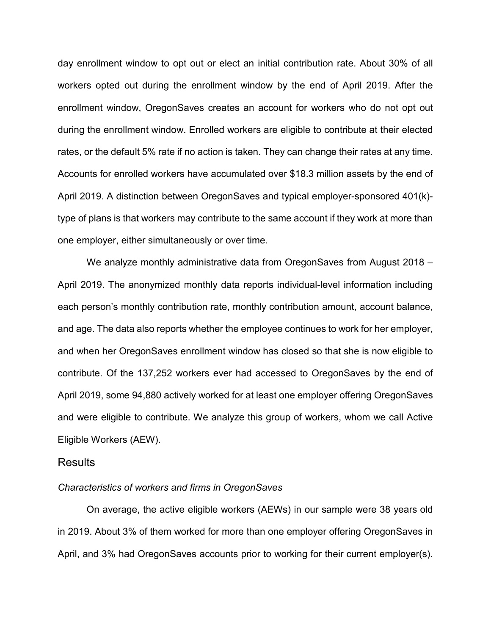day enrollment window to opt out or elect an initial contribution rate. About 30% of all workers opted out during the enrollment window by the end of April 2019. After the enrollment window, OregonSaves creates an account for workers who do not opt out rates, or the default 5% rate if no action is taken. They can change their rates at any time. Accounts for enrolled workers have accumulated over \$18.3 million assets by the end of during the enrollment window. Enrolled workers are eligible to contribute at their elected April 2019. A distinction between OregonSaves and typical employer-sponsored 401(k) type of plans is that workers may contribute to the same account if they work at more than one employer, either simultaneously or over time.

 and were eligible to contribute. We analyze this group of workers, whom we call Active Eligible Workers (AEW). We analyze monthly administrative data from OregonSaves from August 2018 – April 2019. The anonymized monthly data reports individual-level information including each person's monthly contribution rate, monthly contribution amount, account balance, and age. The data also reports whether the employee continues to work for her employer, and when her OregonSaves enrollment window has closed so that she is now eligible to contribute. Of the 137,252 workers ever had accessed to OregonSaves by the end of April 2019, some 94,880 actively worked for at least one employer offering OregonSaves

### Results

#### *Characteristics of workers and firms in OregonSaves*

 On average, the active eligible workers (AEWs) in our sample were 38 years old in 2019. About 3% of them worked for more than one employer offering OregonSaves in April, and 3% had OregonSaves accounts prior to working for their current employer(s).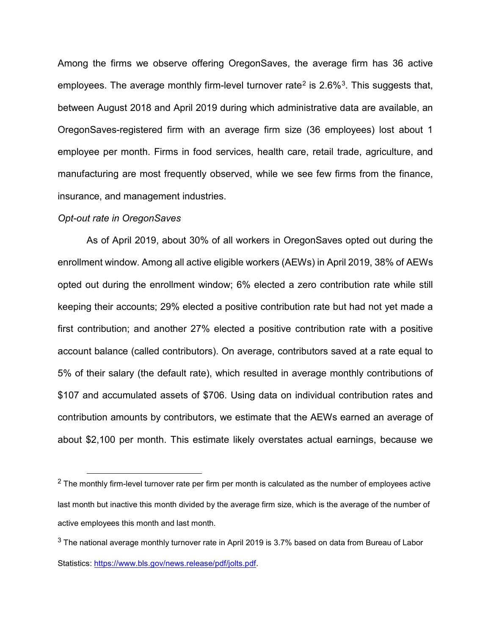Among the firms we observe offering OregonSaves, the average firm has 36 active manufacturing are most frequently observed, while we see few firms from the finance, insurance, and management industries. employees. The average monthly firm-level turnover rate<sup>2</sup> is  $2.6\%$ <sup>3</sup>. This suggests that, between August 2018 and April 2019 during which administrative data are available, an OregonSaves-registered firm with an average firm size (36 employees) lost about 1 employee per month. Firms in food services, health care, retail trade, agriculture, and

#### *Opt-out rate in OregonSaves*

 $\overline{a}$ 

 enrollment window. Among all active eligible workers (AEWs) in April 2019, 38% of AEWs first contribution; and another 27% elected a positive contribution rate with a positive about \$2,100 per month. This estimate likely overstates actual earnings, because we As of April 2019, about 30% of all workers in OregonSaves opted out during the opted out during the enrollment window; 6% elected a zero contribution rate while still keeping their accounts; 29% elected a positive contribution rate but had not yet made a account balance (called contributors). On average, contributors saved at a rate equal to 5% of their salary (the default rate), which resulted in average monthly contributions of \$107 and accumulated assets of \$706. Using data on individual contribution rates and contribution amounts by contributors, we estimate that the AEWs earned an average of

<span id="page-3-0"></span>active employees this month and last month.  $2$  The monthly firm-level turnover rate per firm per month is calculated as the number of employees active last month but inactive this month divided by the average firm size, which is the average of the number of

<span id="page-3-1"></span> $3$  The national average monthly turnover rate in April 2019 is 3.7% based on data from Bureau of Labor Statistics: [https://www.bls.gov/news.release/pdf/jolts.pdf.](https://www.bls.gov/news.release/pdf/jolts.pdf)